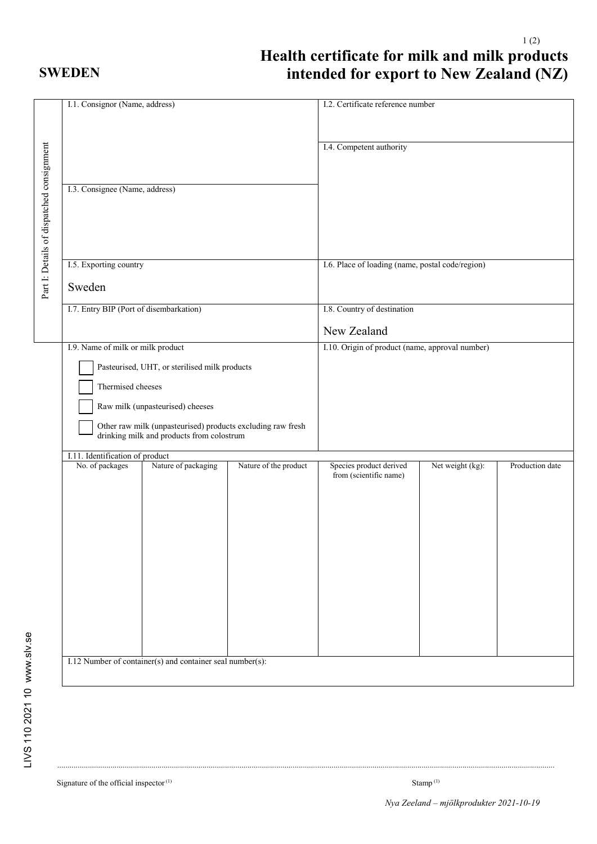## **SWEDEN**

## 1 (2) **Health certificate for milk and milk products intended for export to New Zealand (NZ)**

| I.1. Consignor (Name, address)                                                                                                                                                                                                                        |                                                           |                       | I.2. Certificate reference number                 |                  |                 |
|-------------------------------------------------------------------------------------------------------------------------------------------------------------------------------------------------------------------------------------------------------|-----------------------------------------------------------|-----------------------|---------------------------------------------------|------------------|-----------------|
| Part I: Details of dispatched consignment<br>I.3. Consignee (Name, address)                                                                                                                                                                           |                                                           |                       | I.4. Competent authority                          |                  |                 |
| I.5. Exporting country                                                                                                                                                                                                                                |                                                           |                       | I.6. Place of loading (name, postal code/region)  |                  |                 |
| Sweden                                                                                                                                                                                                                                                |                                                           |                       |                                                   |                  |                 |
| I.7. Entry BIP (Port of disembarkation)                                                                                                                                                                                                               |                                                           |                       | I.8. Country of destination                       |                  |                 |
|                                                                                                                                                                                                                                                       |                                                           |                       | New Zealand                                       |                  |                 |
| Pasteurised, UHT, or sterilised milk products<br>Thermised cheeses<br>Raw milk (unpasteurised) cheeses<br>Other raw milk (unpasteurised) products excluding raw fresh<br>drinking milk and products from colostrum<br>I.11. Identification of product |                                                           |                       |                                                   |                  |                 |
| No. of packages                                                                                                                                                                                                                                       | Nature of packaging                                       | Nature of the product | Species product derived<br>from (scientific name) | Net weight (kg): | Production date |
|                                                                                                                                                                                                                                                       | I.12 Number of container(s) and container seal number(s): |                       |                                                   |                  |                 |

...................................................................................................................................................................................................................................................